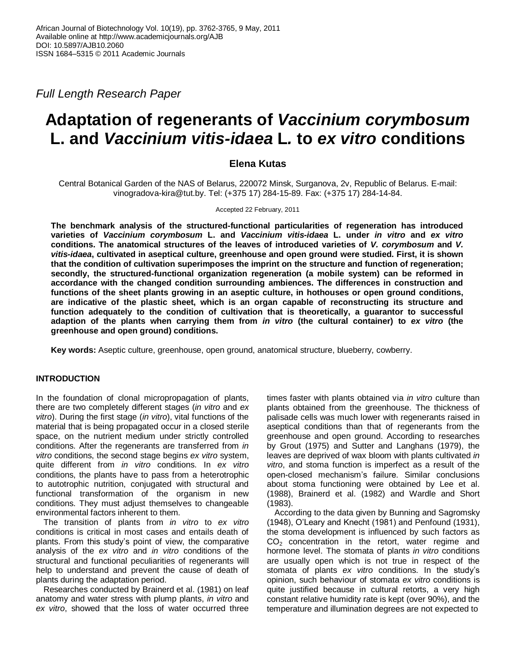*Full Length Research Paper*

# **Adaptation of regenerants of** *Vaccinium corymbosum*  **L. and** *Vaccinium vitis-idaea* **L***.* **to** *ex vitro* **conditions**

## **Elena Kutas**

Central Botanical Garden of the NAS of Belarus, 220072 Minsk, Surganova, 2v, Republic of Belarus. E-mail: vinogradova-kira@tut.by. Tel: (+375 17) 284-15-89. Fax: (+375 17) 284-14-84.

Accepted 22 February, 2011

**The benchmark analysis of the structured-functional particularities of regeneration has introduced varieties of** *Vaccinium corymbosum* **L. and** *Vaccinium vitis-idaea* **L. under** *in vitro* **and** *ex vitro* **conditions. The anatomical structures of the leaves of introduced varieties of** *V. corymbosum* **and** *V. vitis-idaea***, cultivated in aseptical culture, greenhouse and open ground were studied. First, it is shown that the condition of cultivation superimposes the imprint on the structure and function of regeneration; secondly, the structured-functional organization regeneration (a mobile system) can be reformed in accordance with the changed condition surrounding ambiences. The differences in construction and functions of the sheet plants growing in an aseptic culture, in hothouses or open ground conditions, are indicative of the plastic sheet, which is an organ capable of reconstructing its structure and function adequately to the condition of cultivation that is theoretically, a guarantor to successful adaption of the plants when carrying them from** *in vitro* **(the cultural container) to** *ex vitro* **(the greenhouse and open ground) conditions.**

**Key words:** Aseptic culture, greenhouse, open ground, anatomical structure, blueberry*,* cowberry.

### **INTRODUCTION**

In the foundation of clonal micropropagation of plants, there are two completely different stages (*in vitro* and *ex vitro*). During the first stage (*in vitro*), vital functions of the material that is being propagated occur in a closed sterile space, on the nutrient medium under strictly controlled conditions. After the regenerants are transferred from *in vitro* conditions, the second stage begins *ex vitro* system, quite different from *in vitro* conditions. In *ex vitro* conditions, the plants have to pass from a heterotrophic to autotrophic nutrition, conjugated with structural and functional transformation of the organism in new conditions. They must adjust themselves to changeable environmental factors inherent to them.

The transition of plants from *in vitro* to *ex vitro* conditions is critical in most cases and entails death of plants. From this study's point of view, the comparative analysis of the *ex vitro* and *in vitro* conditions of the structural and functional peculiarities of regenerants will help to understand and prevent the cause of death of plants during the adaptation period.

Researches conducted by Brainerd et al. (1981) on leaf anatomy and water stress with plump plants, *in vitro* and *ex vitro*, showed that the loss of water occurred three times faster with plants obtained via *in vitro* culture than plants obtained from the greenhouse. The thickness of palisade cells was much lower with regenerants raised in aseptical conditions than that of regenerants from the greenhouse and open ground. According to researches by Grout (1975) and Sutter and Langhans (1979), the leaves are deprived of wax bloom with plants cultivated *in vitro*, and stoma function is imperfect as a result of the open-closed mechanism's failure. Similar conclusions about stoma functioning were obtained by Lee et al. (1988), Brainerd et al. (1982) and Wardle and Short (1983).

According to the data given by Bunning and Sagromsky (1948), O'Leary and Knecht (1981) and Penfound (1931), the stoma development is influenced by such factors as  $CO<sub>2</sub>$  concentration in the retort, water regime and hormone level. The stomata of plants *in vitro* conditions are usually open which is not true in respect of the stomata of plants *ex vitro* conditions. In the study's opinion, such behaviour of stomata *ex vitro* conditions is quite justified because in cultural retorts, a very high constant relative humidity rate is kept (over 90%), and the temperature and illumination degrees are not expected to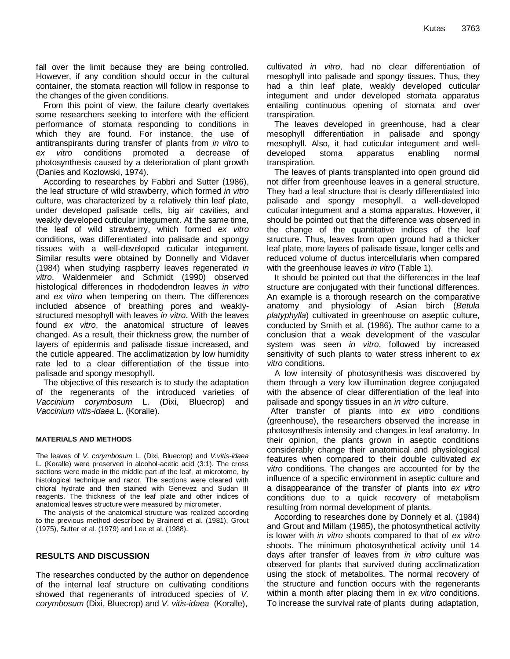fall over the limit because they are being controlled. However, if any condition should occur in the cultural container, the stomata reaction will follow in response to the changes of the given conditions.

From this point of view, the failure clearly overtakes some researchers seeking to interfere with the efficient performance of stomata responding to conditions in which they are found. For instance, the use of antitranspirants during transfer of plants from *in vitro* to *ex vitro* conditions promoted a decrease of photosynthesis caused by a deterioration of plant growth (Danies and Kozlowski, 1974).

According to researches by Fabbri and Sutter (1986), the leaf structure of wild strawberry, which formed *in vitro* culture, was characterized by a relatively thin leaf plate, under developed palisade cells, big air cavities, and weakly developed cuticular integument. At the same time, the leaf of wild strawberry, which formed *ex vitro* conditions, was differentiated into palisade and spongy tissues with a well-developed cuticular integument. Similar results were obtained by Donnelly and Vidaver (1984) when studying raspberry leaves regenerated *in vitro*. Waldenmeier and Schmidt (1990) observed histological differences in rhododendron leaves *in vitro* and *ex vitro* when tempering on them. The differences included absence of breathing pores and weaklystructured mesophyll with leaves *in vitro*. With the leaves found *ex vitro*, the anatomical structure of leaves changed. As a result, their thickness grew, the number of layers of epidermis and palisade tissue increased, and the cuticle appeared. The acclimatization by low humidity rate led to a clear differentiation of the tissue into palisade and spongy mesophyll.

The objective of this research is to study the adaptation of the regenerants of the introduced varieties of *Vaccinium corymbosum* L. (Dixi, Bluecrop) and *Vaccinium vitis-idaea* L. (Koralle).

#### **MATERIALS AND METHODS**

The leaves of *V. corymbosum* L. (Dixi, Bluecrop) and *V.vitis-idaea* L. (Koralle) were preserved in alcohol-acetic acid (3:1). The cross sections were made in the middle part of the leaf, at microtome, by histological technique and razor. The sections were cleared with chloral hydrate and then stained with Genevez and Sudan III reagents. The thickness of the leaf plate and other indices of anatomical leaves structure were measured by micrometer.

The analysis of the anatomical structure was realized according to the previous method described by Brainerd et al. (1981), Grout (1975), Sutter et al. (1979) and Lee et al. (1988).

#### **RESULTS AND DISCUSSION**

The researches conducted by the author on dependence of the internal leaf structure on cultivating conditions showed that regenerants of introduced species of *V. corymbosum* (Dixi, Bluecrop) and *V. vitis-idaea* (Koralle),

cultivated *in vitro*, had no clear differentiation of mesophyll into palisade and spongy tissues. Thus, they had a thin leaf plate, weakly developed cuticular integument and under developed stomata apparatus entailing continuous opening of stomata and over transpiration.

The leaves developed in greenhouse, had a clear mesophyll differentiation in palisade and spongy mesophyll. Also, it had cuticular integument and welldeveloped stoma apparatus enabling normal transpiration.

The leaves of plants transplanted into open ground did not differ from greenhouse leaves in a general structure. They had a leaf structure that is clearly differentiated into palisade and spongy mesophyll, a well-developed cuticular integument and a stoma apparatus. However, it should be pointed out that the difference was observed in the change of the quantitative indices of the leaf structure. Thus, leaves from open ground had a thicker leaf plate, more layers of palisade tissue, longer cells and reduced volume of ductus intercellularis when compared with the greenhouse leaves *in vitro* (Table 1).

It should be pointed out that the differences in the leaf structure are conjugated with their functional differences. An example is a thorough research on the comparative anatomy and physiology of Asian birch (*Betula platyphylla*) cultivated in greenhouse on aseptic culture, conducted by Smith et al. (1986). The author came to a conclusion that a weak development of the vascular system was seen *in vitro*, followed by increased sensitivity of such plants to water stress inherent to *ex vitro* conditions.

A low intensity of photosynthesis was discovered by them through a very low illumination degree conjugated with the absence of clear differentiation of the leaf into palisade and spongy tissues in an *in vitro* culture.

After transfer of plants into *ex vitro* conditions (greenhouse), the researchers observed the increase in photosynthesis intensity and changes in leaf anatomy. In their opinion, the plants grown in aseptic conditions considerably change their anatomical and physiological features when compared to their double cultivated *ex vitro* conditions. The changes are accounted for by the influence of a specific environment in aseptic culture and a disappearance of the transfer of plants into *ex vitro* conditions due to a quick recovery of metabolism resulting from normal development of plants.

According to researches done by Donnely et al. (1984) and Grout and Millam (1985), the photosynthetical activity is lower with *in vitro* shoots compared to that of *ex vitro* shoots. The minimum photosynthetical activity until 14 days after transfer of leaves from *in vitro* culture was observed for plants that survived during acclimatization using the stock of metabolites. The normal recovery of the structure and function occurs with the regenerants within a month after placing them in *ex vitro* conditions. To increase the survival rate of plants during adaptation,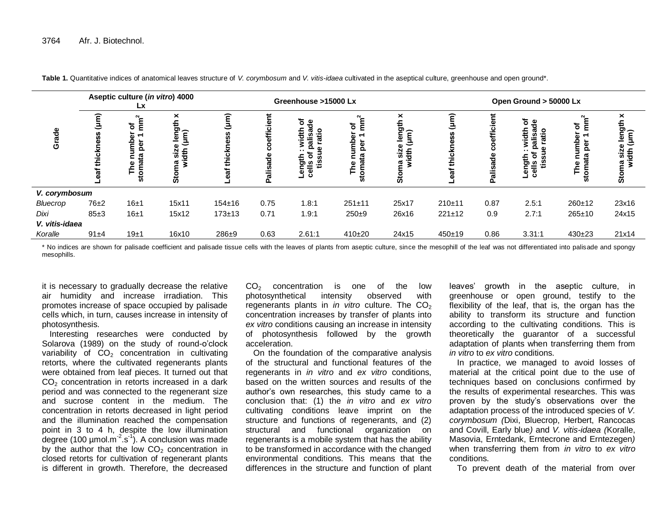|                | Aseptic culture (in vitro) 4000<br>Lх |                                                                                 |                                                                             | Greenhouse >15000 Lx |                            |                              |                                      |                                                         | Open Ground > 50000 Lx |                         |                                         |                                          |                                                                            |
|----------------|---------------------------------------|---------------------------------------------------------------------------------|-----------------------------------------------------------------------------|----------------------|----------------------------|------------------------------|--------------------------------------|---------------------------------------------------------|------------------------|-------------------------|-----------------------------------------|------------------------------------------|----------------------------------------------------------------------------|
| Grade          |                                       | $\sim$<br>Ē<br>৳<br>↽<br>Φ<br>amb<br>E<br>per<br>54<br>toma<br>The<br><b>in</b> | ×<br>leng<br>L<br>$\widehat{E}$<br>$\frac{size}{at}$<br>έ<br>ā<br><b>in</b> | έ                    | efficient<br>٥<br>Palisade | ত ত<br>atio<br>흉<br>ω<br>້ ຫ | $\sim$<br>৳<br>Phe<br>The<br>g<br>'n | ×<br>length<br>์<br>เพิ<br>튱<br><u>siz</u><br>ጃ<br>້ທີ່ | ≃                      | efficie<br>٥<br>alisade | ㅎ욱<br><u>ទី ទី</u><br>흉<br>ngth<br>∥s o | $\sim$<br>৳<br>Ε<br>gum<br><u>م</u><br>ഗ | ×<br>length<br>$\widehat{[\mathsf{µm}]}$<br>size<br>width<br>ធ<br>ក<br>ູ້ທ |
| V. corymbosum  |                                       |                                                                                 |                                                                             |                      |                            |                              |                                      |                                                         |                        |                         |                                         |                                          |                                                                            |
| Bluecrop       | 76±2                                  | 16±1                                                                            | 15x11                                                                       | $154 + 16$           | 0.75                       | 1.8:1                        | $251 + 11$                           | 25x17                                                   | $210+11$               | 0.87                    | 2.5:1                                   | $260 + 12$                               | 23x16                                                                      |
| Dixi           | 85±3                                  | 16±1                                                                            | 15x12                                                                       | $173 + 13$           | 0.71                       | 1.9:1                        | $250+9$                              | 26x16                                                   | $221 \pm 12$           | 0.9                     | 2.7:1                                   | $265 + 10$                               | 24x15                                                                      |
| V. vitis-idaea |                                       |                                                                                 |                                                                             |                      |                            |                              |                                      |                                                         |                        |                         |                                         |                                          |                                                                            |
| Koralle        | $91 + 4$                              | 19±1                                                                            | 16x10                                                                       | $286 + 9$            | 0.63                       | 2.61:1                       | $410+20$                             | 24x15                                                   | $450+19$               | 0.86                    | 3.31:1                                  | $430+23$                                 | 21x14                                                                      |

**Table 1.** Quantitative indices of anatomical leaves structure of *V. corymbosum* and *V. vitis-idaea* cultivated in the aseptical culture, greenhouse and open ground\*.

\* No indices are shown for palisade coefficient and palisade tissue cells with the leaves of plants from aseptic culture, since the mesophill of the leaf was not differentiated into palisade and spongy mesophills.

it is necessary to gradually decrease the relative air humidity and increase irradiation. This promotes increase of space occupied by palisade cells which, in turn, causes increase in intensity of photosynthesis.

Interesting researches were conducted by Solarova (1989) on the study of round-o'clock variability of  $CO<sub>2</sub>$  concentration in cultivating retorts, where the cultivated regenerants plants were obtained from leaf pieces. It turned out that  $CO<sub>2</sub>$  concentration in retorts increased in a dark period and was connected to the regenerant size and sucrose content in the medium. The concentration in retorts decreased in light period and the illumination reached the compensation point in 3 to 4 h, despite the low illumination degree (100 µmol.m $^{-2}$ .s $^{-1}$ ). A conclusion was made by the author that the low  $CO<sub>2</sub>$  concentration in closed retorts for cultivation of regenerant plants is different in growth. Therefore, the decreased

 $CO<sub>2</sub>$  concentration is one of the low<br>photosynthetical intensity observed with photosynthetical intensity observed with regenerants plants in *in vitro* culture. The CO<sub>2</sub> concentration increases by transfer of plants into *ex vitro* conditions causing an increase in intensity of photosynthesis followed by the growth acceleration.

On the foundation of the comparative analysis of the structural and functional features of the regenerants in *in vitro* and *ex vitro* conditions, based on the written sources and results of the author's own researches, this study came to a conclusion that: (1) the *in vitro* and *ex vitro* cultivating conditions leave imprint on the structure and functions of regenerants, and (2) structural and functional organization on regenerants is a mobile system that has the ability to be transformed in accordance with the changed environmental conditions. This means that the differences in the structure and function of plant

leaves' growth in the aseptic culture, in greenhouse or open ground, testify to the flexibility of the leaf, that is, the organ has the ability to transform its structure and function according to the cultivating conditions. This is theoretically the guarantor of a successful adaptation of plants when transferring them from *in vitro* to *ex vitro* conditions.

In practice, we managed to avoid losses of material at the critical point due to the use of techniques based on conclusions confirmed by the results of experimental researches. This was proven by the study's observations over the adaptation process of the introduced species of *V. corymbosum (*Dixi, Bluecrop, Herbert, Rancocas and Covill, Early blue*)* and *V. vitis-idaea (*Koralle, Masovia, Erntedank, Erntecrone and Erntezegen*)* when transferring them from *in vitro* to *ex vitro* conditions.

To prevent death of the material from over